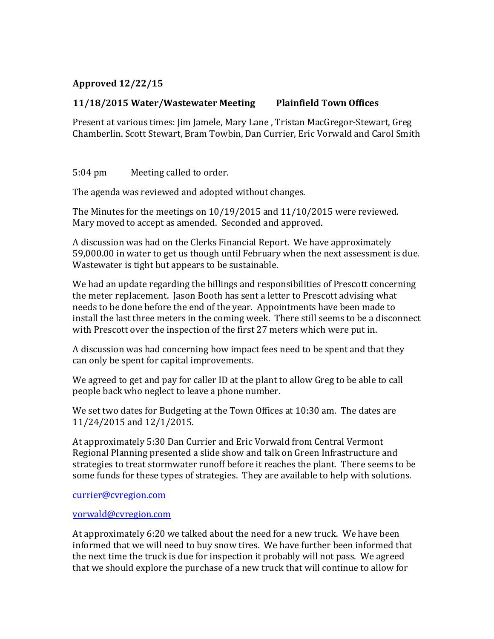## **Approved(12/22/15**

## **11/18/2015** Water/Wastewater Meeting Plainfield Town Offices

Present at various times: Jim Jamele, Mary Lane, Tristan MacGregor-Stewart, Greg Chamberlin. Scott Stewart, Bram Towbin, Dan Currier, Eric Vorwald and Carol Smith

5:04 pm Meeting called to order.

The agenda was reviewed and adopted without changes.

The Minutes for the meetings on  $10/19/2015$  and  $11/10/2015$  were reviewed. Mary moved to accept as amended. Seconded and approved.

A discussion was had on the Clerks Financial Report. We have approximately 59,000.00 in water to get us though until February when the next assessment is due. Wastewater is tight but appears to be sustainable.

We had an update regarding the billings and responsibilities of Prescott concerning the meter replacement. Jason Booth has sent a letter to Prescott advising what needs to be done before the end of the year. Appointments have been made to install the last three meters in the coming week. There still seems to be a disconnect with Prescott over the inspection of the first 27 meters which were put in.

A discussion was had concerning how impact fees need to be spent and that they can only be spent for capital improvements.

We agreed to get and pay for caller ID at the plant to allow Greg to be able to call people back who neglect to leave a phone number.

We set two dates for Budgeting at the Town Offices at 10:30 am. The dates are 11/24/2015 and 12/1/2015.

At approximately 5:30 Dan Currier and Eric Vorwald from Central Vermont Regional Planning presented a slide show and talk on Green Infrastructure and strategies to treat stormwater runoff before it reaches the plant. There seems to be some funds for these types of strategies. They are available to help with solutions.

currier@cvregion.com

## vorwald@cvregion.com

At approximately 6:20 we talked about the need for a new truck. We have been informed that we will need to buy snow tires. We have further been informed that the next time the truck is due for inspection it probably will not pass. We agreed that we should explore the purchase of a new truck that will continue to allow for